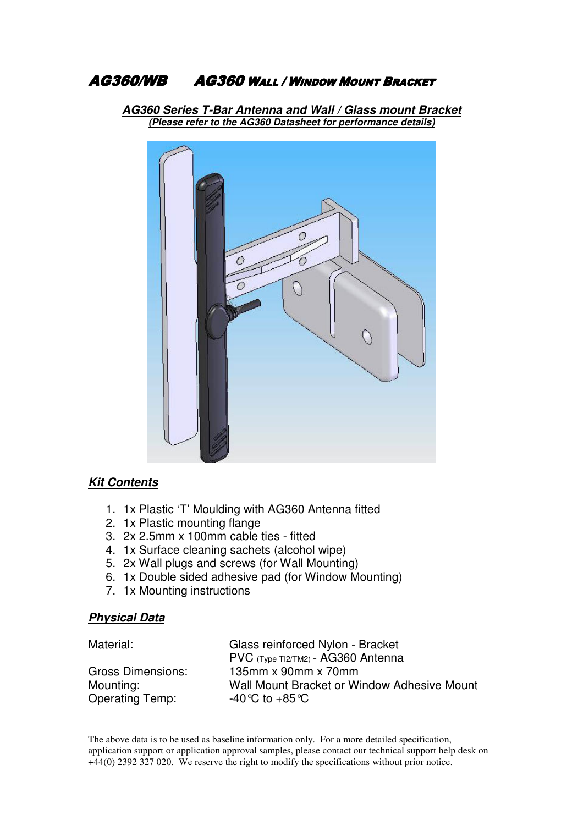#### **AG360/WB AG360 WALL / WINDOW MOUNT BRACKET**

**AG360 Series T-Bar Antenna and Wall / Glass mount Bracket (Please refer to the AG360 Datasheet for performance details)**



### **Kit Contents**

- 1. 1x Plastic 'T' Moulding with AG360 Antenna fitted
- 2. 1x Plastic mounting flange
- 3. 2x 2.5mm x 100mm cable ties fitted
- 4. 1x Surface cleaning sachets (alcohol wipe)
- 5. 2x Wall plugs and screws (for Wall Mounting)
- 6. 1x Double sided adhesive pad (for Window Mounting)
- 7. 1x Mounting instructions

#### **Physical Data**

| Material:              | Glass reinforced Nylon - Bracket            |
|------------------------|---------------------------------------------|
|                        | PVC (Type TI2/TM2) - AG360 Antenna          |
| Gross Dimensions:      | 135 $mm \times 90mm \times 70mm$            |
| Mounting:              | Wall Mount Bracket or Window Adhesive Mount |
| <b>Operating Temp:</b> | -40 °C to +85 °C                            |

The above data is to be used as baseline information only. For a more detailed specification, application support or application approval samples, please contact our technical support help desk on +44(0) 2392 327 020. We reserve the right to modify the specifications without prior notice.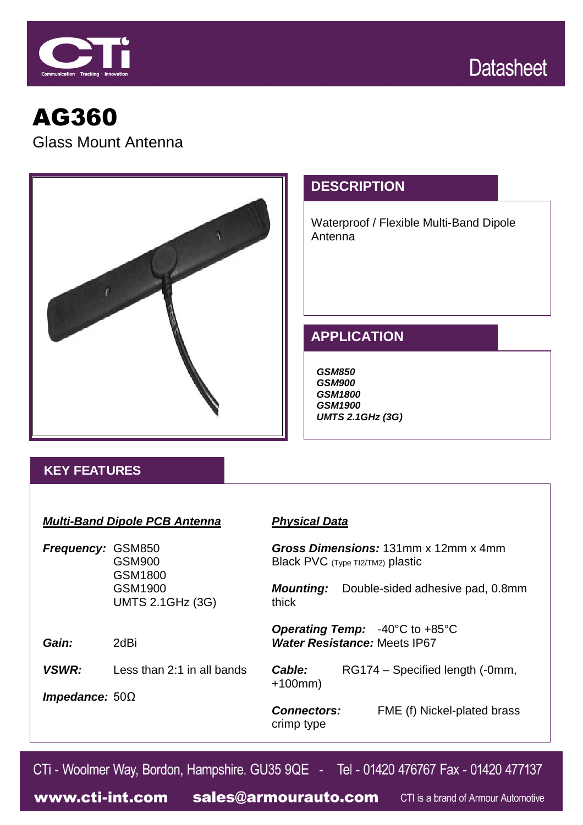



# AG360 Glass Mount Antenna



# **DESCRIPTION**

Waterproof / Flexible Multi-Band Dipole Antenna

# **APPLICATION**

*GSM850 GSM900 GSM1800 GSM1900 UMTS 2.1GHz (3G)*

## **KEY FEATURES**

#### *Multi-Band Dipole PCB Antenna*

*Frequency:* GSM850 GSM900 GSM1800 GSM1900 UMTS 2.1GHz (3G)

*VSWR:* Less than 2:1 in all bands

### *Physical Data*

*Gross Dimensions:* 131mm x 12mm x 4mm Black PVC (Type TI2/TM2) plastic

*Mounting:* Double-sided adhesive pad, 0.8mm thick

*Operating Temp:* -40°C to +85°C *Water Resistance:* Meets IP67

*Cable:* RG174 – Specified length (-0mm, +100mm)

*Impedance:* 50Ω

*Gain:* 2dBi

crimp type

*Connectors:* FME (f) Nickel-plated brass

CTi - Woolmer Way, Bordon, Hampshire. GU35 9QE - Tel - 01420 476767 Fax - 01420 477137

www.cti-int.com sales@armourauto.com CTI is a brand of Armour Automotive